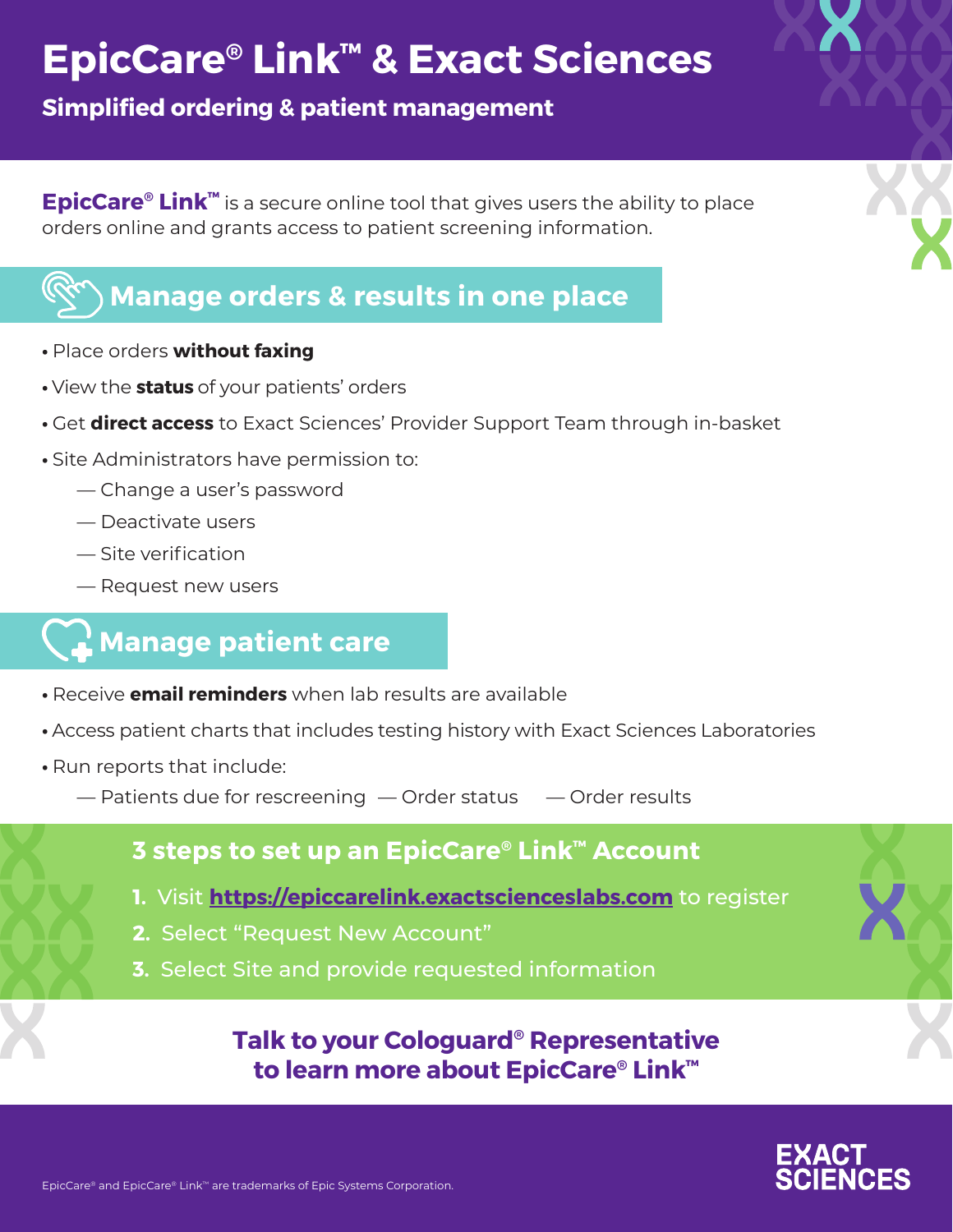# **EpicCare® Link™ & Exact Sciences**

**Simplified ordering & patient management**

**EpicCare® Link™** is a secure online tool that gives users the ability to place orders online and grants access to patient screening information.

### **Manage orders & results in one place**

- Place orders **without faxing**
- View the **status** of your patients' orders
- Get **direct access** to Exact Sciences' Provider Support Team through in-basket
- Site Administrators have permission to:
	- Change a user's password
	- Deactivate users
	- Site verification
	- Request new users

### **Manage patient care**

- Receive **email reminders** when lab results are available
- Access patient charts that includes testing history with Exact Sciences Laboratories
- Run reports that include:
	- $-$  Patients due for rescreening  $-$  Order status  $-$  Order results

#### **3 steps to set up an EpicCare® Link™ Account**

- **1.** Visit **<https://epiccarelink.exactscienceslabs.com>** to register
- **2.** Select "Request New Account"
- **3.** Select Site and provide requested information

### **Talk to your Cologuard® Representative to learn more about EpicCare® Link™**